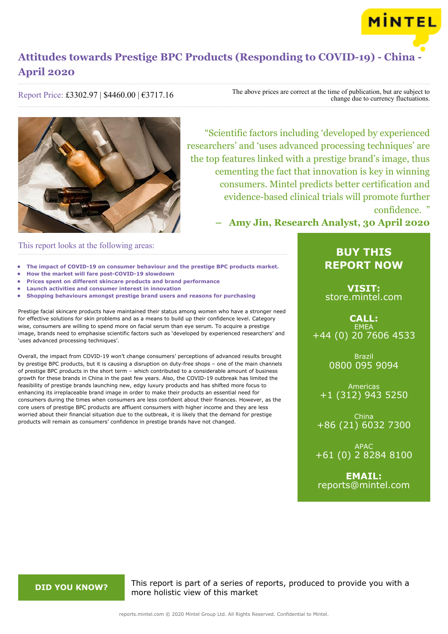

Report Price: £3302.97 | \$4460.00 | €3717.16

The above prices are correct at the time of publication, but are subject to change due to currency fluctuations.



"Scientific factors including 'developed by experienced researchers' and 'uses advanced processing techniques' are the top features linked with a prestige brand's image, thus cementing the fact that innovation is key in winning consumers. Mintel predicts better certification and evidence-based clinical trials will promote further confidence. "

**– Amy Jin, Research Analyst, 30 April 2020**

## This report looks at the following areas:

- **• The impact of COVID-19 on consumer behaviour and the prestige BPC products market.**
- **• How the market will fare post-COVID-19 slowdown**
- **• Prices spent on different skincare products and brand performance**
- **• Launch activities and consumer interest in innovation**
- **• Shopping behaviours amongst prestige brand users and reasons for purchasing**

Prestige facial skincare products have maintained their status among women who have a stronger need for effective solutions for skin problems and as a means to build up their confidence level. Category wise, consumers are willing to spend more on facial serum than eye serum. To acquire a prestige image, brands need to emphasise scientific factors such as 'developed by experienced researchers' and 'uses advanced processing techniques'.

Overall, the impact from COVID-19 won't change consumers' perceptions of advanced results brought by prestige BPC products, but it is causing a disruption on duty-free shops – one of the main channels of prestige BPC products in the short term – which contributed to a considerable amount of business growth for these brands in China in the past few years. Also, the COVID-19 outbreak has limited the feasibility of prestige brands launching new, edgy luxury products and has shifted more focus to enhancing its irreplaceable brand image in order to make their products an essential need for consumers during the times when consumers are less confident about their finances. However, as the core users of prestige BPC products are affluent consumers with higher income and they are less worried about their financial situation due to the outbreak, it is likely that the demand for prestige products will remain as consumers' confidence in prestige brands have not changed.

## **BUY THIS REPORT NOW**

**VISIT:** [store.mintel.com](/reports.mintel.com//display/store/994784/)

**CALL: EMEA** +44 (0) 20 7606 4533

> Brazil 0800 095 9094

Americas +1 (312) 943 5250

China +86 (21) 6032 7300

APAC +61 (0) 2 8284 8100

**EMAIL:** [reports@mintel.com](mailto:reports@mintel.com)

**DID YOU KNOW?** This report is part of a series of reports, produced to provide you with a more holistic view of this market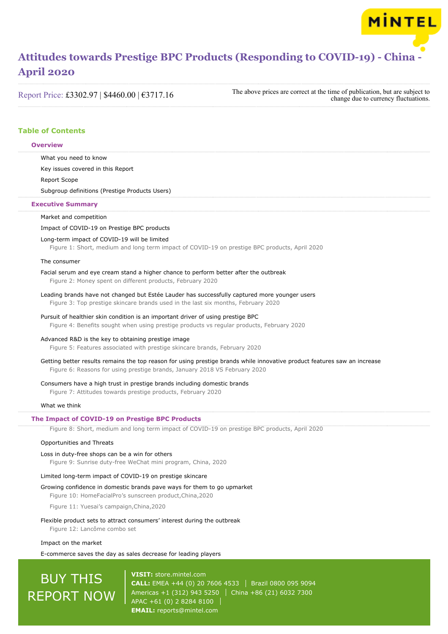Report Price: £3302.97 | \$4460.00 | €3717.16

The above prices are correct at the time of publication, but are subject to change due to currency fluctuations.

MINTEL

## **Table of Contents**

## **Overview**

What you need to know

Key issues covered in this Report

Report Scope

Subgroup definitions (Prestige Products Users)

## **Executive Summary**

Market and competition

## Impact of COVID-19 on Prestige BPC products

## Long-term impact of COVID-19 will be limited

Figure 1: Short, medium and long term impact of COVID-19 on prestige BPC products, April 2020

## The consumer

## Facial serum and eye cream stand a higher chance to perform better after the outbreak

Figure 2: Money spent on different products, February 2020

Leading brands have not changed but Estée Lauder has successfully captured more younger users Figure 3: Top prestige skincare brands used in the last six months, February 2020

## Pursuit of healthier skin condition is an important driver of using prestige BPC

Figure 4: Benefits sought when using prestige products vs regular products, February 2020

## Advanced R&D is the key to obtaining prestige image

Figure 5: Features associated with prestige skincare brands, February 2020

Getting better results remains the top reason for using prestige brands while innovative product features saw an increase Figure 6: Reasons for using prestige brands, January 2018 VS February 2020

## Consumers have a high trust in prestige brands including domestic brands

Figure 7: Attitudes towards prestige products, February 2020

## What we think

## **The Impact of COVID-19 on Prestige BPC Products**

Figure 8: Short, medium and long term impact of COVID-19 on prestige BPC products, April 2020

## Opportunities and Threats

## Loss in duty-free shops can be a win for others

Figure 9: Sunrise duty-free WeChat mini program, China, 2020

## Limited long-term impact of COVID-19 on prestige skincare

#### Growing confidence in domestic brands pave ways for them to go upmarket

Figure 10: HomeFacialPro's sunscreen product,China,2020

Figure 11: Yuesai's campaign,China,2020

#### Flexible product sets to attract consumers' interest during the outbreak

Figure 12: Lancôme combo set

## Impact on the market

## E-commerce saves the day as sales decrease for leading players

# BUY THIS REPORT NOW

**VISIT:** [store.mintel.com](/reports.mintel.com//display/store/994784/) **CALL:** EMEA +44 (0) 20 7606 4533 Brazil 0800 095 9094 Americas +1 (312) 943 5250 China +86 (21) 6032 7300 APAC +61 (0) 2 8284 8100 **EMAIL:** [reports@mintel.com](mailto:reports@mintel.com)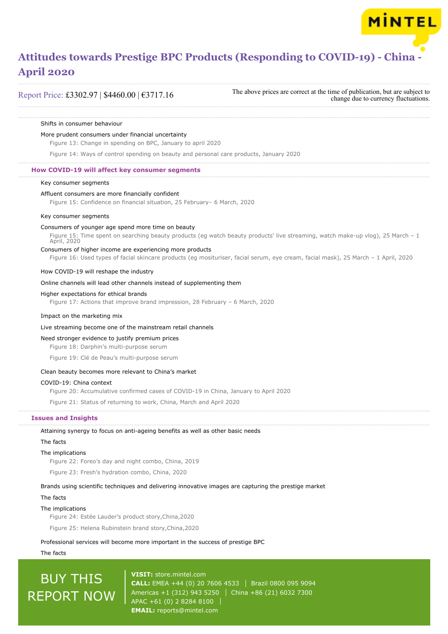Report Price: £3302.97 | \$4460.00 | €3717.16

The above prices are correct at the time of publication, but are subject to change due to currency fluctuations.

MINTEL

#### Shifts in consumer behaviour

## More prudent consumers under financial uncertainty

Figure 13: Change in spending on BPC, January to april 2020

Figure 14: Ways of control spending on beauty and personal care products, January 2020

## **How COVID-19 will affect key consumer segments**

#### Key consumer segments

## Affluent consumers are more financially confident

Figure 15: Confidence on financial situation, 25 February– 6 March, 2020

#### Key consumer segments

## Consumers of younger age spend more time on beauty

Figure 15: Time spent on searching beauty products (eg watch beauty products' live streaming, watch make-up vlog), 25 March – 1 April, 2020

## Consumers of higher income are experiencing more products

Figure 16: Used types of facial skincare products (eg mosituriser, facial serum, eye cream, facial mask), 25 March – 1 April, 2020

## How COVID-19 will reshape the industry

## Online channels will lead other channels instead of supplementing them

#### Higher expectations for ethical brands

Figure 17: Actions that improve brand impression, 28 February – 6 March, 2020

## Impact on the marketing mix

## Live streaming become one of the mainstream retail channels

## Need stronger evidence to justify premium prices

Figure 18: Darphin's multi-purpose serum

Figure 19: Clé de Peau's multi-purpose serum

## Clean beauty becomes more relevant to China's market

## COVID-19: China context

Figure 20: Accumulative confirmed cases of COVID-19 in China, January to April 2020

Figure 21: Status of returning to work, China, March and April 2020

## **Issues and Insights**

## Attaining synergy to focus on anti-ageing benefits as well as other basic needs

## The facts

## The implications

Figure 22: Foreo's day and night combo, China, 2019

Figure 23: Fresh's hydration combo, China, 2020

## Brands using scientific techniques and delivering innovative images are capturing the prestige market

## The facts

## The implications

Figure 24: Estée Lauder's product story,China,2020

Figure 25: Helena Rubinstein brand story,China,2020

## Professional services will become more important in the success of prestige BPC

The facts

# BUY THIS REPORT NOW

**VISIT:** [store.mintel.com](/reports.mintel.com//display/store/994784/) **CALL:** EMEA +44 (0) 20 7606 4533 Brazil 0800 095 9094 Americas +1 (312) 943 5250 China +86 (21) 6032 7300 APAC +61 (0) 2 8284 8100 **EMAIL:** [reports@mintel.com](mailto:reports@mintel.com)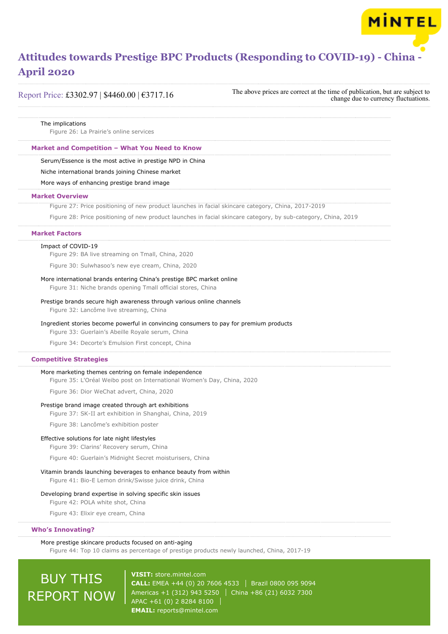

Report Price: £3302.97 | \$4460.00 | €3717.16

The above prices are correct at the time of publication, but are subject to change due to currency fluctuations.

**MINTEL** 

#### The implications

Figure 26: La Prairie's online services

## **Market and Competition – What You Need to Know**

Serum/Essence is the most active in prestige NPD in China

Niche international brands joining Chinese market

More ways of enhancing prestige brand image

## **Market Overview**

Figure 27: Price positioning of new product launches in facial skincare category, China, 2017-2019

Figure 28: Price positioning of new product launches in facial skincare category, by sub-category, China, 2019

#### **Market Factors**

#### Impact of COVID-19

Figure 29: BA live streaming on Tmall, China, 2020

Figure 30: Sulwhasoo's new eye cream, China, 2020

## More international brands entering China's prestige BPC market online

Figure 31: Niche brands opening Tmall official stores, China

## Prestige brands secure high awareness through various online channels

Figure 32: Lancôme live streaming, China

## Ingredient stories become powerful in convincing consumers to pay for premium products

Figure 33: Guerlain's Abeille Royale serum, China

Figure 34: Decorte's Emulsion First concept, China

## **Competitive Strategies**

## More marketing themes centring on female independence

Figure 35: L'Oréal Weibo post on International Women's Day, China, 2020

Figure 36: Dior WeChat advert, China, 2020

## Prestige brand image created through art exhibitions

Figure 37: SK-II art exhibition in Shanghai, China, 2019

Figure 38: Lancôme's exhibition poster

## Effective solutions for late night lifestyles

Figure 39: Clarins' Recovery serum, China

Figure 40: Guerlain's Midnight Secret moisturisers, China

## Vitamin brands launching beverages to enhance beauty from within

Figure 41: Bio-E Lemon drink/Swisse juice drink, China

## Developing brand expertise in solving specific skin issues

Figure 42: POLA white shot, China

Figure 43: Elixir eye cream, China

## **Who's Innovating?**

## More prestige skincare products focused on anti-aging

Figure 44: Top 10 claims as percentage of prestige products newly launched, China, 2017-19

# BUY THIS REPORT NOW

**VISIT:** [store.mintel.com](/reports.mintel.com//display/store/994784/) **CALL:** EMEA +44 (0) 20 7606 4533 Brazil 0800 095 9094 Americas +1 (312) 943 5250 | China +86 (21) 6032 7300 APAC +61 (0) 2 8284 8100 **EMAIL:** [reports@mintel.com](mailto:reports@mintel.com)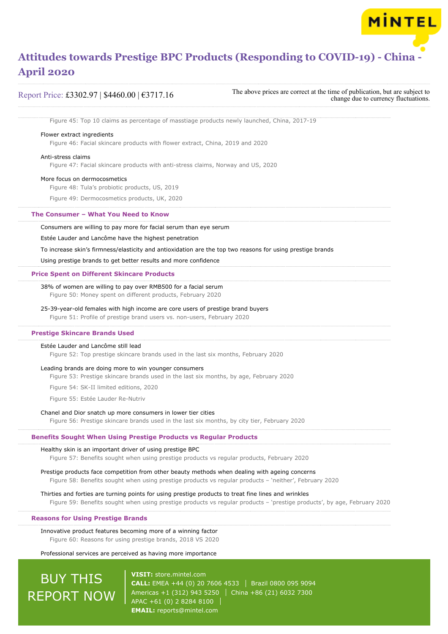Report Price: £3302.97 | \$4460.00 | €3717.16

The above prices are correct at the time of publication, but are subject to change due to currency fluctuations.

**MINTEL** 

Figure 45: Top 10 claims as percentage of masstiage products newly launched, China, 2017-19

## Flower extract ingredients

Figure 46: Facial skincare products with flower extract, China, 2019 and 2020

## Anti-stress claims

Figure 47: Facial skincare products with anti-stress claims, Norway and US, 2020

## More focus on dermocosmetics

Figure 48: Tula's probiotic products, US, 2019

Figure 49: Dermocosmetics products, UK, 2020

#### **The Consumer – What You Need to Know**

Consumers are willing to pay more for facial serum than eye serum

Estée Lauder and Lancôme have the highest penetration

To increase skin's firmness/elasticity and antioxidation are the top two reasons for using prestige brands

Using prestige brands to get better results and more confidence

#### **Price Spent on Different Skincare Products**

38% of women are willing to pay over RMB500 for a facial serum Figure 50: Money spent on different products, February 2020

## 25-39-year-old females with high income are core users of prestige brand buyers

Figure 51: Profile of prestige brand users vs. non-users, February 2020

## **Prestige Skincare Brands Used**

## Estée Lauder and Lancôme still lead

Figure 52: Top prestige skincare brands used in the last six months, February 2020

#### Leading brands are doing more to win younger consumers

Figure 53: Prestige skincare brands used in the last six months, by age, February 2020

Figure 54: SK-II limited editions, 2020

Figure 55: Estée Lauder Re-Nutriv

#### Chanel and Dior snatch up more consumers in lower tier cities

Figure 56: Prestige skincare brands used in the last six months, by city tier, February 2020

## **Benefits Sought When Using Prestige Products vs Regular Products**

## Healthy skin is an important driver of using prestige BPC

Figure 57: Benefits sought when using prestige products vs regular products, February 2020

Prestige products face competition from other beauty methods when dealing with ageing concerns

Figure 58: Benefits sought when using prestige products vs regular products – 'neither', February 2020

Thirties and forties are turning points for using prestige products to treat fine lines and wrinkles

Figure 59: Benefits sought when using prestige products vs regular products – 'prestige products', by age, February 2020

## **Reasons for Using Prestige Brands**

Innovative product features becoming more of a winning factor Figure 60: Reasons for using prestige brands, 2018 VS 2020

## Professional services are perceived as having more importance

# BUY THIS REPORT NOW

**VISIT:** [store.mintel.com](/reports.mintel.com//display/store/994784/) **CALL:** EMEA +44 (0) 20 7606 4533 Brazil 0800 095 9094 Americas +1 (312) 943 5250 | China +86 (21) 6032 7300 APAC +61 (0) 2 8284 8100 **EMAIL:** [reports@mintel.com](mailto:reports@mintel.com)